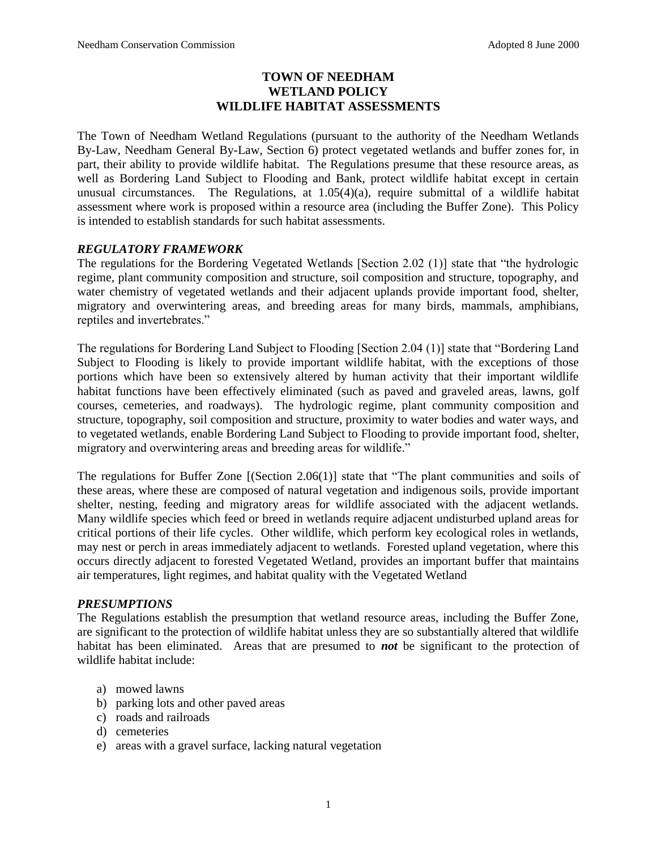# **TOWN OF NEEDHAM WETLAND POLICY WILDLIFE HABITAT ASSESSMENTS**

The Town of Needham Wetland Regulations (pursuant to the authority of the Needham Wetlands By-Law, Needham General By-Law, Section 6) protect vegetated wetlands and buffer zones for, in part, their ability to provide wildlife habitat. The Regulations presume that these resource areas, as well as Bordering Land Subject to Flooding and Bank, protect wildlife habitat except in certain unusual circumstances. The Regulations, at 1.05(4)(a), require submittal of a wildlife habitat assessment where work is proposed within a resource area (including the Buffer Zone). This Policy is intended to establish standards for such habitat assessments.

## *REGULATORY FRAMEWORK*

The regulations for the Bordering Vegetated Wetlands [Section 2.02 (1)] state that "the hydrologic regime, plant community composition and structure, soil composition and structure, topography, and water chemistry of vegetated wetlands and their adjacent uplands provide important food, shelter, migratory and overwintering areas, and breeding areas for many birds, mammals, amphibians, reptiles and invertebrates."

The regulations for Bordering Land Subject to Flooding [Section 2.04 (1)] state that "Bordering Land Subject to Flooding is likely to provide important wildlife habitat, with the exceptions of those portions which have been so extensively altered by human activity that their important wildlife habitat functions have been effectively eliminated (such as paved and graveled areas, lawns, golf courses, cemeteries, and roadways). The hydrologic regime, plant community composition and structure, topography, soil composition and structure, proximity to water bodies and water ways, and to vegetated wetlands, enable Bordering Land Subject to Flooding to provide important food, shelter, migratory and overwintering areas and breeding areas for wildlife."

The regulations for Buffer Zone [(Section 2.06(1)] state that "The plant communities and soils of these areas, where these are composed of natural vegetation and indigenous soils, provide important shelter, nesting, feeding and migratory areas for wildlife associated with the adjacent wetlands. Many wildlife species which feed or breed in wetlands require adjacent undisturbed upland areas for critical portions of their life cycles. Other wildlife, which perform key ecological roles in wetlands, may nest or perch in areas immediately adjacent to wetlands. Forested upland vegetation, where this occurs directly adjacent to forested Vegetated Wetland, provides an important buffer that maintains air temperatures, light regimes, and habitat quality with the Vegetated Wetland

## *PRESUMPTIONS*

The Regulations establish the presumption that wetland resource areas, including the Buffer Zone, are significant to the protection of wildlife habitat unless they are so substantially altered that wildlife habitat has been eliminated. Areas that are presumed to *not* be significant to the protection of wildlife habitat include:

- a) mowed lawns
- b) parking lots and other paved areas
- c) roads and railroads
- d) cemeteries
- e) areas with a gravel surface, lacking natural vegetation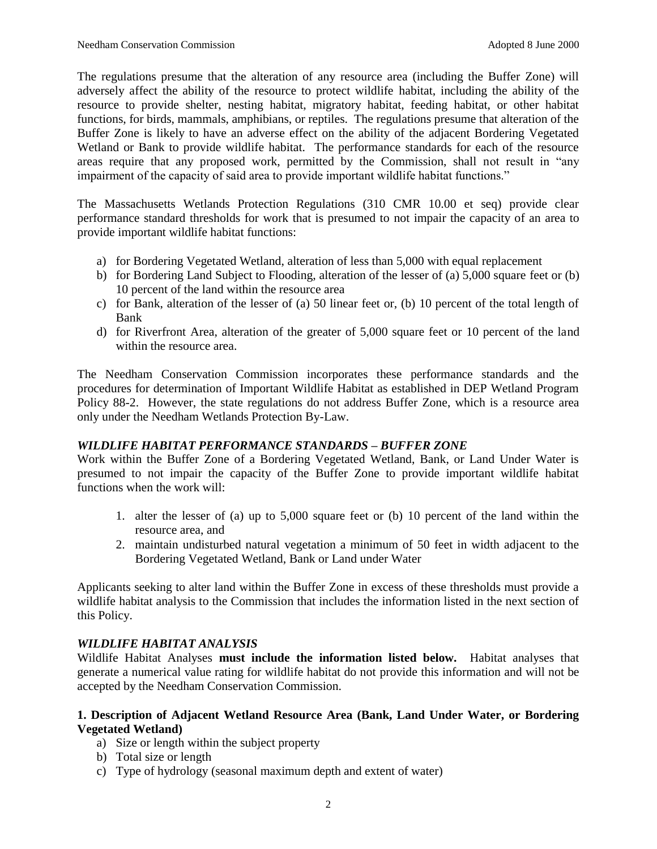The regulations presume that the alteration of any resource area (including the Buffer Zone) will adversely affect the ability of the resource to protect wildlife habitat, including the ability of the resource to provide shelter, nesting habitat, migratory habitat, feeding habitat, or other habitat functions, for birds, mammals, amphibians, or reptiles. The regulations presume that alteration of the Buffer Zone is likely to have an adverse effect on the ability of the adjacent Bordering Vegetated Wetland or Bank to provide wildlife habitat. The performance standards for each of the resource areas require that any proposed work, permitted by the Commission, shall not result in "any impairment of the capacity of said area to provide important wildlife habitat functions."

The Massachusetts Wetlands Protection Regulations (310 CMR 10.00 et seq) provide clear performance standard thresholds for work that is presumed to not impair the capacity of an area to provide important wildlife habitat functions:

- a) for Bordering Vegetated Wetland, alteration of less than 5,000 with equal replacement
- b) for Bordering Land Subject to Flooding, alteration of the lesser of (a) 5,000 square feet or (b) 10 percent of the land within the resource area
- c) for Bank, alteration of the lesser of (a) 50 linear feet or, (b) 10 percent of the total length of Bank
- d) for Riverfront Area, alteration of the greater of 5,000 square feet or 10 percent of the land within the resource area.

The Needham Conservation Commission incorporates these performance standards and the procedures for determination of Important Wildlife Habitat as established in DEP Wetland Program Policy 88-2. However, the state regulations do not address Buffer Zone, which is a resource area only under the Needham Wetlands Protection By-Law.

# *WILDLIFE HABITAT PERFORMANCE STANDARDS – BUFFER ZONE*

Work within the Buffer Zone of a Bordering Vegetated Wetland, Bank, or Land Under Water is presumed to not impair the capacity of the Buffer Zone to provide important wildlife habitat functions when the work will:

- 1. alter the lesser of (a) up to 5,000 square feet or (b) 10 percent of the land within the resource area, and
- 2. maintain undisturbed natural vegetation a minimum of 50 feet in width adjacent to the Bordering Vegetated Wetland, Bank or Land under Water

Applicants seeking to alter land within the Buffer Zone in excess of these thresholds must provide a wildlife habitat analysis to the Commission that includes the information listed in the next section of this Policy.

## *WILDLIFE HABITAT ANALYSIS*

Wildlife Habitat Analyses **must include the information listed below.** Habitat analyses that generate a numerical value rating for wildlife habitat do not provide this information and will not be accepted by the Needham Conservation Commission.

## **1. Description of Adjacent Wetland Resource Area (Bank, Land Under Water, or Bordering Vegetated Wetland)**

- a) Size or length within the subject property
- b) Total size or length
- c) Type of hydrology (seasonal maximum depth and extent of water)